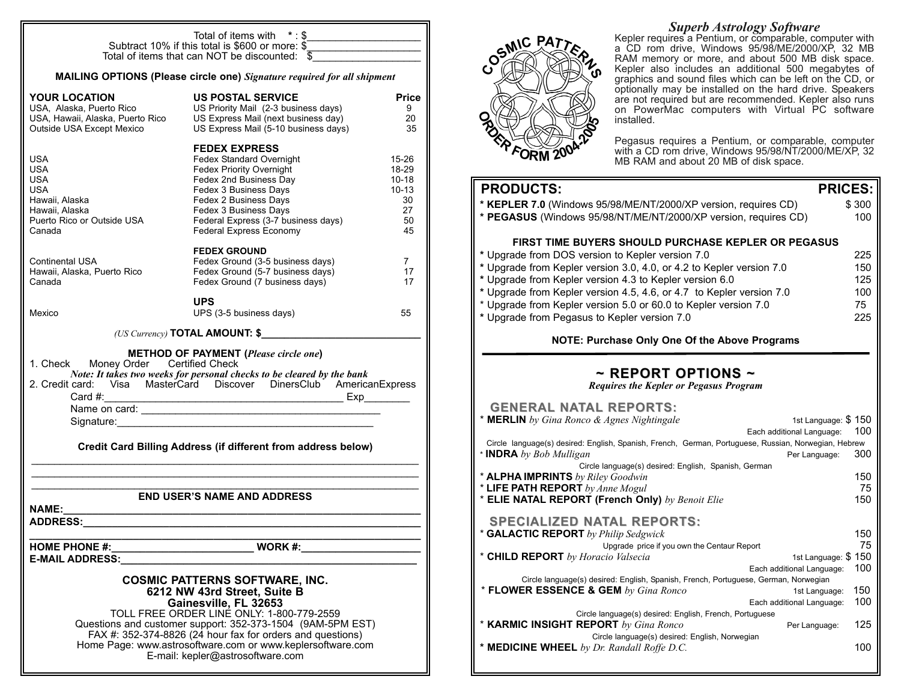|                                                                                                        | Total of items with $* : $$<br>Subtract 10% if this total is \$600 or more: \$<br>Total of items that can NOT be discounted: $\overline{\$}$                                                                                                                                                                                                                              |                                                                      |  |  |
|--------------------------------------------------------------------------------------------------------|---------------------------------------------------------------------------------------------------------------------------------------------------------------------------------------------------------------------------------------------------------------------------------------------------------------------------------------------------------------------------|----------------------------------------------------------------------|--|--|
| MAILING OPTIONS (Please circle one) Signature required for all shipment                                |                                                                                                                                                                                                                                                                                                                                                                           |                                                                      |  |  |
| <b>YOUR LOCATION</b><br>Outside USA Except Mexico                                                      | <b>US POSTAL SERVICE</b><br>TUUR LUURITUIN<br>USA, Alaska, Puerto Rico US Priority Mail (2-3 business days)<br>USA, Hawaii, Alaska, Puerto Rico US Express Mail (next business days)<br>US Priority Mail (2-3 business days)<br>US Express Mail (5-10 business days)                                                                                                      | <b>Price</b><br>9<br>-20<br>35                                       |  |  |
| USA<br>USA<br>USA.<br>USA.<br>Hawaii, Alaska<br>Hawaii, Alaska<br>Puerto Rico or Outside USA<br>Canada | <b>FEDEX EXPRESS</b><br>Fedex Standard Overnight<br>Fedex Priority Overnight<br>Fedex 2nd Business Day<br>Fedex 3 Business Days<br>Fedex 2 Business Days<br>Fedex 3 Business Days<br>Federal Express (3-7 business days)<br><b>Federal Express Economy</b>                                                                                                                | $15 - 26$<br>18-29<br>$10 - 18$<br>$10 - 13$<br>30<br>27<br>50<br>45 |  |  |
| Continental USA<br>Hawaii, Alaska, Puerto Rico<br>Canada                                               | <b>FEDEX GROUND</b><br>Fedex Ground (3-5 business days)<br>Fedex Ground (5-7 business days)<br>Fedex Ground (7 business days)                                                                                                                                                                                                                                             | $\overline{7}$<br>17<br>17                                           |  |  |
| Mexico                                                                                                 | <b>UPS</b><br>UPS (3-5 business days)                                                                                                                                                                                                                                                                                                                                     | 55                                                                   |  |  |
|                                                                                                        | (US Currency) <b>TOTAL AMOUNT: \$</b>                                                                                                                                                                                                                                                                                                                                     |                                                                      |  |  |
| 1. Check Money Order Certified Check<br>Signature:                                                     | <b>METHOD OF PAYMENT (Please circle one)</b><br>Note: It takes two weeks for personal checks to be cleared by the bank<br>2. Credit card: Visa MasterCard Discover DinersClub AmericanExpress                                                                                                                                                                             |                                                                      |  |  |
|                                                                                                        | Credit Card Billing Address (if different from address below)                                                                                                                                                                                                                                                                                                             |                                                                      |  |  |
| <b>END USER'S NAME AND ADDRESS</b><br>NAME: I                                                          |                                                                                                                                                                                                                                                                                                                                                                           |                                                                      |  |  |
| <b>ADDRESS:</b>                                                                                        |                                                                                                                                                                                                                                                                                                                                                                           |                                                                      |  |  |
| <b>HOME PHONE #:</b><br><b>E-MAIL ADDRESS:</b>                                                         | <b>Example 2018</b> WORK #:                                                                                                                                                                                                                                                                                                                                               |                                                                      |  |  |
|                                                                                                        | <b>COSMIC PATTERNS SOFTWARE, INC.</b><br>6212 NW 43rd Street, Suite B<br>Gainesville, FL 32653<br>TOLL FREE ORDER LINE ONLY: 1-800-779-2559<br>Questions and customer support: 352-373-1504 (9AM-5PM EST)<br>FAX #: 352-374-8826 (24 hour fax for orders and questions)<br>Home Page: www.astrosoftware.com or www.keplersoftware.com<br>E-mail: kepler@astrosoftware.com |                                                                      |  |  |



*Superb Astrology Software* Kepler requires a Pentium, or comparable, computer with a CD rom drive, Windows 95/98/ME/2000/XP, 32 MB RAM memory or more, and about 500 MB disk space. Kepler also includes an additional 500 megabytes of graphics and sound files which can be left on the CD, or optionally may be installed on the hard drive. Speakers are not required but are recommended. Kepler also runs on PowerMac computers with Virtual PC software installed.

Pegasus requires a Pentium, or comparable, computer with a CD rom drive, Windows 95/98/NT/2000/ME/XP, 32 MB RAM and about 20 MB of disk space.

## **PRODUCTS: PRICES:**

| * KEPLER 7.0 (Windows 95/98/ME/NT/2000/XP version, requires CD)<br>* PEGASUS (Windows 95/98/NT/ME/NT/2000/XP version, requires CD)                                                                                                                                                                                                                                                                                                                                                            | \$300<br>100                          |
|-----------------------------------------------------------------------------------------------------------------------------------------------------------------------------------------------------------------------------------------------------------------------------------------------------------------------------------------------------------------------------------------------------------------------------------------------------------------------------------------------|---------------------------------------|
| FIRST TIME BUYERS SHOULD PURCHASE KEPLER OR PEGASUS<br>* Upgrade from DOS version to Kepler version 7.0<br>* Upgrade from Kepler version 3.0, 4.0, or 4.2 to Kepler version 7.0<br>* Upgrade from Kepler version 4.3 to Kepler version 6.0<br>* Upgrade from Kepler version 4.5, 4.6, or 4.7 to Kepler version 7.0<br>* Upgrade from Kepler version 5.0 or 60.0 to Kepler version 7.0<br>* Upgrade from Pegasus to Kepler version 7.0<br><b>NOTE: Purchase Only One Of the Above Programs</b> | 225<br>150<br>125<br>100<br>75<br>225 |
| $\sim$ REPORT OPTIONS $\sim$<br><b>Requires the Kepler or Pegasus Program</b>                                                                                                                                                                                                                                                                                                                                                                                                                 |                                       |
| <b>GENERAL NATAL REPORTS:</b><br>* MERLIN by Gina Ronco & Agnes Nightingale<br>1st Language: \$150<br>Each additional Language:<br>Circle language(s) desired: English, Spanish, French, German, Portuguese, Russian, Norwegian, Hebrew<br>* <b>INDRA</b> by Bob Mulligan<br>Per Language:<br>Circle language(s) desired: English, Spanish, German<br>* ALPHA IMPRINTS by Riley Goodwin<br>* LIFE PATH REPORT by Anne Mogul<br>* ELIE NATAL REPORT (French Only) by Benoit Elie               | 100<br>300<br>150<br>75<br>150        |
| <b>SPECIALIZED NATAL REPORTS:</b><br>* GALACTIC REPORT by Philip Sedgwick<br>Upgrade price if you own the Centaur Report<br>* CHILD REPORT by Horacio Valsecia<br>1st Language: \$150<br>Each additional Language:<br>Circle language(s) desired: English, Spanish, French, Portuguese, German, Norwegian<br>* FLOWER ESSENCE & GEM by Gina Ronco<br>1st Language:<br>Each additional Language:                                                                                               | 150<br>75<br>100<br>150<br>100        |
| Circle language(s) desired: English, French, Portuguese<br>* KARMIC INSIGHT REPORT by Gina Ronco<br>Per Language:<br>Circle language(s) desired: English, Norwegian<br>* MEDICINE WHEEL by Dr. Randall Roffe D.C.                                                                                                                                                                                                                                                                             | 125<br>100                            |